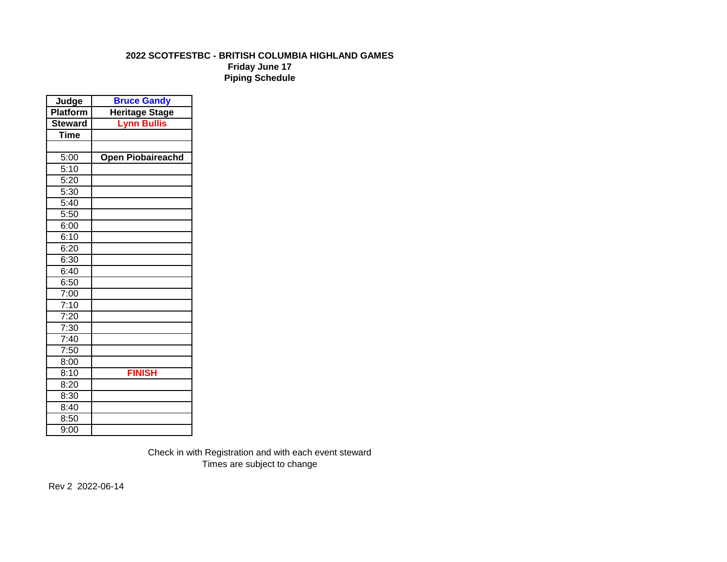# **2022 SCOTFESTBC - BRITISH COLUMBIA HIGHLAND GAMES**

**Friday June 17 Piping Schedule**

| Judge          | <b>Bruce Gandy</b>       |  |  |
|----------------|--------------------------|--|--|
| Platform       | <b>Heritage Stage</b>    |  |  |
| <b>Steward</b> | <b>Lynn Bullis</b>       |  |  |
| <b>Time</b>    |                          |  |  |
|                |                          |  |  |
| 5:00           | <b>Open Piobaireachd</b> |  |  |
| 5:10           |                          |  |  |
| 5:20           |                          |  |  |
| 5:30           |                          |  |  |
| 5:40           |                          |  |  |
| 5:50           |                          |  |  |
| 6:00           |                          |  |  |
| 6:10           |                          |  |  |
| 6:20           |                          |  |  |
| 6:30           |                          |  |  |
| 6:40           |                          |  |  |
| 6:50           |                          |  |  |
| 7:00           |                          |  |  |
| 7:10           |                          |  |  |
| 7:20           |                          |  |  |
| 7:30           |                          |  |  |
| 7:40           |                          |  |  |
| 7:50           |                          |  |  |
| 8:00           |                          |  |  |
| 8:10           | <b>FINISH</b>            |  |  |
| 8:20           |                          |  |  |
| 8:30           |                          |  |  |
| 8:40           |                          |  |  |
| 8:50           |                          |  |  |
| 9:00           |                          |  |  |

Check in with Registration and with each event steward Times are subject to change

Rev 2 2022-06-14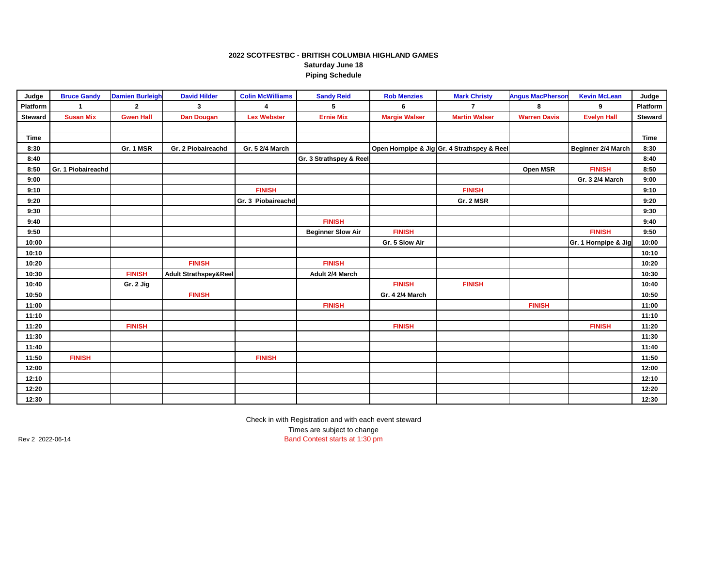#### **2022 SCOTFESTBC - BRITISH COLUMBIA HIGHLAND GAMES Saturday June 18 Piping Schedule**

| Judge          | <b>Bruce Gandy</b> | <b>Damien Burleigh</b> | <b>David Hilder</b>              | <b>Colin McWilliams</b> | <b>Sandy Reid</b>        | <b>Rob Menzies</b>   | <b>Mark Christy</b>                         | <b>Angus MacPherson</b> | <b>Kevin McLean</b>  | Judge       |
|----------------|--------------------|------------------------|----------------------------------|-------------------------|--------------------------|----------------------|---------------------------------------------|-------------------------|----------------------|-------------|
| Platform       | 1                  | $\mathbf{2}$           | 3                                | $\Delta$                | 5                        | 6                    | $\overline{7}$                              | 8                       | 9                    | Platform    |
| <b>Steward</b> | <b>Susan Mix</b>   | <b>Gwen Hall</b>       | <b>Dan Dougan</b>                | <b>Lex Webster</b>      | <b>Ernie Mix</b>         | <b>Margie Walser</b> | <b>Martin Walser</b>                        | <b>Warren Davis</b>     | <b>Evelyn Hall</b>   | Steward     |
|                |                    |                        |                                  |                         |                          |                      |                                             |                         |                      |             |
| <b>Time</b>    |                    |                        |                                  |                         |                          |                      |                                             |                         |                      | <b>Time</b> |
| 8:30           |                    | Gr. 1 MSR              | Gr. 2 Piobaireachd               | Gr. 5 2/4 March         |                          |                      | Open Hornpipe & Jig Gr. 4 Strathspey & Reel |                         | Beginner 2/4 March   | 8:30        |
| 8:40           |                    |                        |                                  |                         | Gr. 3 Strathspey & Reel  |                      |                                             |                         |                      | 8:40        |
| 8:50           | Gr. 1 Piobaireachd |                        |                                  |                         |                          |                      |                                             | Open MSR                | <b>FINISH</b>        | 8:50        |
| 9:00           |                    |                        |                                  |                         |                          |                      |                                             |                         | Gr. 3 2/4 March      | 9:00        |
| 9:10           |                    |                        |                                  | <b>FINISH</b>           |                          |                      | <b>FINISH</b>                               |                         |                      | 9:10        |
| 9:20           |                    |                        |                                  | Gr. 3 Piobaireachd      |                          |                      | Gr. 2 MSR                                   |                         |                      | 9:20        |
| 9:30           |                    |                        |                                  |                         |                          |                      |                                             |                         |                      | 9:30        |
| 9:40           |                    |                        |                                  |                         | <b>FINISH</b>            |                      |                                             |                         |                      | 9:40        |
| 9:50           |                    |                        |                                  |                         | <b>Beginner Slow Air</b> | <b>FINISH</b>        |                                             |                         | <b>FINISH</b>        | 9:50        |
| 10:00          |                    |                        |                                  |                         |                          | Gr. 5 Slow Air       |                                             |                         | Gr. 1 Hornpipe & Jig | 10:00       |
| 10:10          |                    |                        |                                  |                         |                          |                      |                                             |                         |                      | 10:10       |
| 10:20          |                    |                        | <b>FINISH</b>                    |                         | <b>FINISH</b>            |                      |                                             |                         |                      | 10:20       |
| 10:30          |                    | <b>FINISH</b>          | <b>Adult Strathspey&amp;Reel</b> |                         | Adult 2/4 March          |                      |                                             |                         |                      | 10:30       |
| 10:40          |                    | Gr. 2 Jig              |                                  |                         |                          | <b>FINISH</b>        | <b>FINISH</b>                               |                         |                      | 10:40       |
| 10:50          |                    |                        | <b>FINISH</b>                    |                         |                          | Gr. 4 2/4 March      |                                             |                         |                      | 10:50       |
| 11:00          |                    |                        |                                  |                         | <b>FINISH</b>            |                      |                                             | <b>FINISH</b>           |                      | 11:00       |
| 11:10          |                    |                        |                                  |                         |                          |                      |                                             |                         |                      | 11:10       |
| 11:20          |                    | <b>FINISH</b>          |                                  |                         |                          | <b>FINISH</b>        |                                             |                         | <b>FINISH</b>        | 11:20       |
| 11:30          |                    |                        |                                  |                         |                          |                      |                                             |                         |                      | 11:30       |
| 11:40          |                    |                        |                                  |                         |                          |                      |                                             |                         |                      | 11:40       |
| 11:50          | <b>FINISH</b>      |                        |                                  | <b>FINISH</b>           |                          |                      |                                             |                         |                      | 11:50       |
| 12:00          |                    |                        |                                  |                         |                          |                      |                                             |                         |                      | 12:00       |
| 12:10          |                    |                        |                                  |                         |                          |                      |                                             |                         |                      | 12:10       |
| 12:20          |                    |                        |                                  |                         |                          |                      |                                             |                         |                      | 12:20       |
| 12:30          |                    |                        |                                  |                         |                          |                      |                                             |                         |                      | 12:30       |

Check in with Registration and with each event steward Times are subject to change

Rev 2 2022-06-14 Band Contest starts at 1:30 pm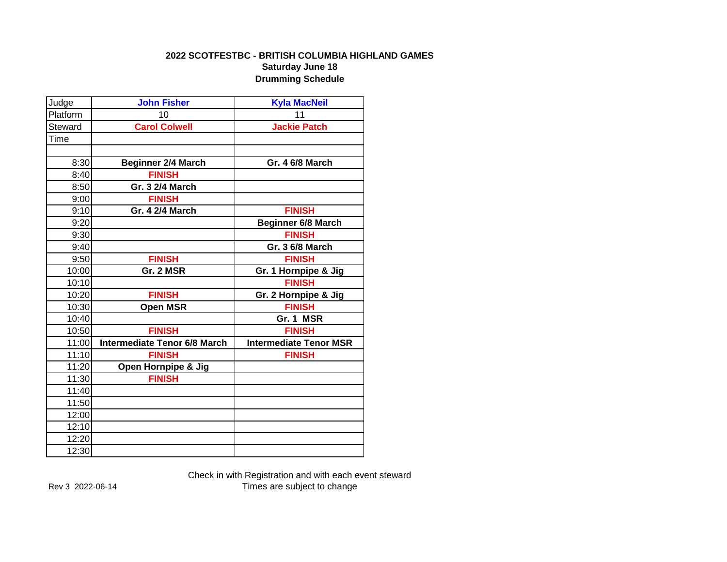### **2022 SCOTFESTBC - BRITISH COLUMBIA HIGHLAND GAMES Saturday June 18**

**Drumming Schedule**

| Judge    | <b>John Fisher</b>                  | <b>Kyla MacNeil</b>           |
|----------|-------------------------------------|-------------------------------|
| Platform | 10                                  | 11                            |
| Steward  | <b>Carol Colwell</b>                | <b>Jackie Patch</b>           |
| Time     |                                     |                               |
|          |                                     |                               |
| 8:30     | <b>Beginner 2/4 March</b>           | <b>Gr. 4 6/8 March</b>        |
| 8:40     | <b>FINISH</b>                       |                               |
| 8:50     | Gr. 3 2/4 March                     |                               |
| 9:00     | <b>FINISH</b>                       |                               |
| 9:10     | Gr. 4 2/4 March                     | <b>FINISH</b>                 |
| 9:20     |                                     | <b>Beginner 6/8 March</b>     |
| 9:30     |                                     | <b>FINISH</b>                 |
| 9:40     |                                     | <b>Gr. 3 6/8 March</b>        |
| 9:50     | <b>FINISH</b>                       | <b>FINISH</b>                 |
| 10:00    | Gr. 2 MSR                           | Gr. 1 Hornpipe & Jig          |
| 10:10    |                                     | <b>FINISH</b>                 |
| 10:20    | <b>FINISH</b>                       | Gr. 2 Hornpipe & Jig          |
| 10:30    | <b>Open MSR</b>                     | <b>FINISH</b>                 |
| 10:40    |                                     | Gr. 1 MSR                     |
| 10:50    | <b>FINISH</b>                       | <b>FINISH</b>                 |
| 11:00    | <b>Intermediate Tenor 6/8 March</b> | <b>Intermediate Tenor MSR</b> |
| 11:10    | <b>FINISH</b>                       | <b>FINISH</b>                 |
| 11:20    | Open Hornpipe & Jig                 |                               |
| 11:30    | <b>FINISH</b>                       |                               |
| 11:40    |                                     |                               |
| 11:50    |                                     |                               |
| 12:00    |                                     |                               |
| 12:10    |                                     |                               |
| 12:20    |                                     |                               |
| 12:30    |                                     |                               |

Check in with Registration and with each event steward Rev 3 2022-06-14 Times are subject to change